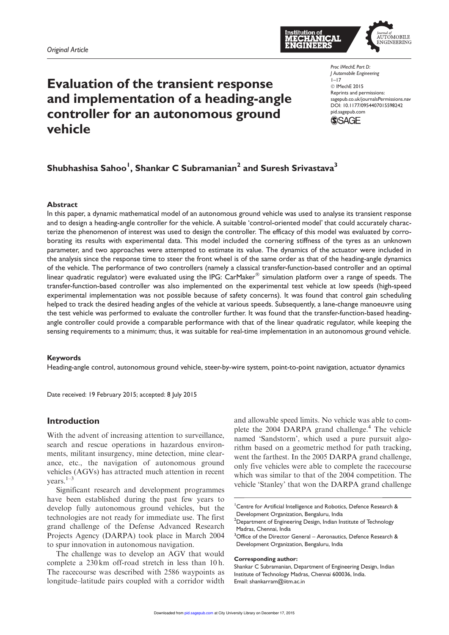# Evaluation of the transient response and implementation of a heading-angle controller for an autonomous ground vehicle

*Proc IMechE Part D: J Automobile Engineering*  $1 - 17$ © IMechE 2015 Reprints and permissions: sagepub.co.uk/journalsPermissions.nav DOI: 10.1177/0954407015598242 pid.sagepub.com

ournal of<br>AUTOMOBILE GINEERING



## $\mathsf{\mathsf{Shubhashisa\,}Sahoo}^{\mathsf{I}},\mathsf{\mathsf{Shankar\,}\mathsf{C}\,Subramanian}^{\mathsf{2}}$  and  $\mathsf{\mathsf{Suresh\,}Srivastava}^{\mathsf{3}}$

#### Abstract

In this paper, a dynamic mathematical model of an autonomous ground vehicle was used to analyse its transient response and to design a heading-angle controller for the vehicle. A suitable 'control-oriented model' that could accurately characterize the phenomenon of interest was used to design the controller. The efficacy of this model was evaluated by corroborating its results with experimental data. This model included the cornering stiffness of the tyres as an unknown parameter, and two approaches were attempted to estimate its value. The dynamics of the actuator were included in the analysis since the response time to steer the front wheel is of the same order as that of the heading-angle dynamics of the vehicle. The performance of two controllers (namely a classical transfer-function-based controller and an optimal linear quadratic regulator) were evaluated using the IPG: CarMaker® simulation platform over a range of speeds. The transfer-function-based controller was also implemented on the experimental test vehicle at low speeds (high-speed experimental implementation was not possible because of safety concerns). It was found that control gain scheduling helped to track the desired heading angles of the vehicle at various speeds. Subsequently, a lane-change manoeuvre using the test vehicle was performed to evaluate the controller further. It was found that the transfer-function-based headingangle controller could provide a comparable performance with that of the linear quadratic regulator, while keeping the sensing requirements to a minimum; thus, it was suitable for real-time implementation in an autonomous ground vehicle.

### Keywords

Heading-angle control, autonomous ground vehicle, steer-by-wire system, point-to-point navigation, actuator dynamics

Date received: 19 February 2015; accepted: 8 July 2015

### Introduction

With the advent of increasing attention to surveillance, search and rescue operations in hazardous environments, militant insurgency, mine detection, mine clearance, etc., the navigation of autonomous ground vehicles (AGVs) has attracted much attention in recent vears. $1-3$ 

Significant research and development programmes have been established during the past few years to develop fully autonomous ground vehicles, but the technologies are not ready for immediate use. The first grand challenge of the Defense Advanced Research Projects Agency (DARPA) took place in March 2004 to spur innovation in autonomous navigation.

The challenge was to develop an AGV that would complete a 230 km off-road stretch in less than 10 h. The racecourse was described with 2586 waypoints as longitude–latitude pairs coupled with a corridor width and allowable speed limits. No vehicle was able to complete the  $2004$  DARPA grand challenge.<sup>4</sup> The vehicle named 'Sandstorm', which used a pure pursuit algorithm based on a geometric method for path tracking, went the farthest. In the 2005 DARPA grand challenge, only five vehicles were able to complete the racecourse which was similar to that of the 2004 competition. The vehicle 'Stanley' that won the DARPA grand challenge

<sup>2</sup>Department of Engineering Design, Indian Institute of Technology Madras, Chennai, India

#### Corresponding author:

<sup>&</sup>lt;sup>1</sup>Centre for Artificial Intelligence and Robotics, Defence Research & Development Organization, Bengaluru, India

 $3$ Office of the Director General – Aeronautics, Defence Research & Development Organization, Bengaluru, India

Shankar C Subramanian, Department of Engineering Design, Indian Institute of Technology Madras, Chennai 600036, India. Email: shankarram@iitm.ac.in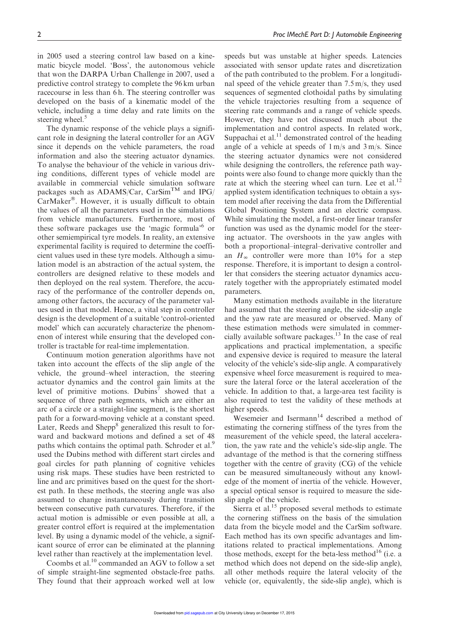in 2005 used a steering control law based on a kinematic bicycle model. 'Boss', the autonomous vehicle that won the DARPA Urban Challenge in 2007, used a predictive control strategy to complete the 96 km urban racecourse in less than 6 h. The steering controller was developed on the basis of a kinematic model of the vehicle, including a time delay and rate limits on the steering wheel.<sup>5</sup>

The dynamic response of the vehicle plays a significant role in designing the lateral controller for an AGV since it depends on the vehicle parameters, the road information and also the steering actuator dynamics. To analyse the behaviour of the vehicle in various driving conditions, different types of vehicle model are available in commercial vehicle simulation software packages such as ADAMS/Car,  $CarSim<sup>TM</sup>$  and IPG/ CarMaker . However, it is usually difficult to obtain the values of all the parameters used in the simulations from vehicle manufacturers. Furthermore, most of these software packages use the 'magic formula'<sup>6</sup> or other semiempirical tyre models. In reality, an extensive experimental facility is required to determine the coefficient values used in these tyre models. Although a simulation model is an abstraction of the actual system, the controllers are designed relative to these models and then deployed on the real system. Therefore, the accuracy of the performance of the controller depends on, among other factors, the accuracy of the parameter values used in that model. Hence, a vital step in controller design is the development of a suitable 'control-oriented model' which can accurately characterize the phenomenon of interest while ensuring that the developed controller is tractable for real-time implementation.

Continuum motion generation algorithms have not taken into account the effects of the slip angle of the vehicle, the ground–wheel interaction, the steering actuator dynamics and the control gain limits at the level of primitive motions. Dubins<sup>7</sup> showed that a sequence of three path segments, which are either an arc of a circle or a straight-line segment, is the shortest path for a forward-moving vehicle at a constant speed. Later, Reeds and Shepp<sup>8</sup> generalized this result to forward and backward motions and defined a set of 48 paths which contains the optimal path. Schroder et al.<sup>9</sup> used the Dubins method with different start circles and goal circles for path planning of cognitive vehicles using risk maps. These studies have been restricted to line and arc primitives based on the quest for the shortest path. In these methods, the steering angle was also assumed to change instantaneously during transition between consecutive path curvatures. Therefore, if the actual motion is admissible or even possible at all, a greater control effort is required at the implementation level. By using a dynamic model of the vehicle, a significant source of error can be eliminated at the planning level rather than reactively at the implementation level.

Coombs et al.<sup>10</sup> commanded an  $\overrightarrow{AGV}$  to follow a set of simple straight-line segmented obstacle-free paths. They found that their approach worked well at low speeds but was unstable at higher speeds. Latencies associated with sensor update rates and discretization of the path contributed to the problem. For a longitudinal speed of the vehicle greater than 7.5 m/s, they used sequences of segmented clothoidal paths by simulating the vehicle trajectories resulting from a sequence of steering rate commands and a range of vehicle speeds. However, they have not discussed much about the implementation and control aspects. In related work, Suppachai et al. $^{11}$  demonstrated control of the heading angle of a vehicle at speeds of 1 m/s and 3 m/s. Since the steering actuator dynamics were not considered while designing the controllers, the reference path waypoints were also found to change more quickly than the rate at which the steering wheel can turn. Lee et al. $^{12}$ applied system identification techniques to obtain a system model after receiving the data from the Differential Global Positioning System and an electric compass. While simulating the model, a first-order linear transfer function was used as the dynamic model for the steering actuator. The overshoots in the yaw angles with both a proportional–integral–derivative controller and an  $H_{\infty}$  controller were more than 10% for a step response. Therefore, it is important to design a controller that considers the steering actuator dynamics accurately together with the appropriately estimated model parameters.

Many estimation methods available in the literature had assumed that the steering angle, the side-slip angle and the yaw rate are measured or observed. Many of these estimation methods were simulated in commercially available software packages.<sup>13</sup> In the case of real applications and practical implementation, a specific and expensive device is required to measure the lateral velocity of the vehicle's side-slip angle. A comparatively expensive wheel force measurement is required to measure the lateral force or the lateral acceleration of the vehicle. In addition to that, a large-area test facility is also required to test the validity of these methods at higher speeds.

Wesemeier and Isermann $14$  described a method of estimating the cornering stiffness of the tyres from the measurement of the vehicle speed, the lateral acceleration, the yaw rate and the vehicle's side-slip angle. The advantage of the method is that the cornering stiffness together with the centre of gravity (CG) of the vehicle can be measured simultaneously without any knowledge of the moment of inertia of the vehicle. However, a special optical sensor is required to measure the sideslip angle of the vehicle.

Sierra et al.<sup>15</sup> proposed several methods to estimate the cornering stiffness on the basis of the simulation data from the bicycle model and the CarSim software. Each method has its own specific advantages and limitations related to practical implementations. Among those methods, except for the beta-less method $^{16}$  (i.e. a method which does not depend on the side-slip angle), all other methods require the lateral velocity of the vehicle (or, equivalently, the side-slip angle), which is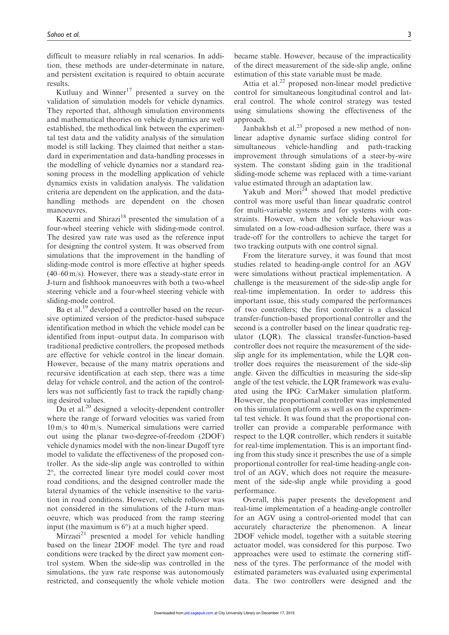difficult to measure reliably in real scenarios. In addition, these methods are under-determinate in nature, and persistent excitation is required to obtain accurate results.

Kutluay and Winner<sup>17</sup> presented a survey on the validation of simulation models for vehicle dynamics. They reported that, although simulation environments and mathematical theories on vehicle dynamics are well established, the methodical link between the experimental test data and the validity analysis of the simulation model is still lacking. They claimed that neither a standard in experimentation and data-handling processes in the modelling of vehicle dynamics nor a standard reasoning process in the modelling application of vehicle dynamics exists in validation analysis. The validation criteria are dependent on the application, and the datahandling methods are dependent on the chosen manoeuvres.

Kazemi and Shirazi<sup>18</sup> presented the simulation of a four-wheel steering vehicle with sliding-mode control. The desired yaw rate was used as the reference input for designing the control system. It was observed from simulations that the improvement in the handling of sliding-mode control is more effective at higher speeds (40–60 m/s). However, there was a steady-state error in J-turn and fishhook manoeuvres with both a two-wheel steering vehicle and a four-wheel steering vehicle with sliding-mode control.

Ba et al.<sup>19</sup> developed a controller based on the recursive optimized version of the predictor-based subspace identification method in which the vehicle model can be identified from input–output data. In comparison with traditional predictive controllers, the proposed methods are effective for vehicle control in the linear domain. However, because of the many matrix operations and recursive identification at each step, there was a time delay for vehicle control, and the action of the controllers was not sufficiently fast to track the rapidly changing desired values.

Du et al.<sup>20</sup> designed a velocity-dependent controller where the range of forward velocities was varied from 10 m/s to 40 m/s. Numerical simulations were carried out using the planar two-degree-of-freedom (2DOF) vehicle dynamics model with the non-linear Dugoff tyre model to validate the effectiveness of the proposed controller. As the side-slip angle was controlled to within 2°, the corrected linear tyre model could cover most road conditions, and the designed controller made the lateral dynamics of the vehicle insensitive to the variation in road conditions. However, vehicle rollover was not considered in the simulations of the J-turn manoeuvre, which was produced from the ramp steering input (the maximum is  $6^{\circ}$ ) at a much higher speed.

Mirzaei<sup>21</sup> presented a model for vehicle handling based on the linear 2DOF model. The tyre and road conditions were tracked by the direct yaw moment control system. When the side-slip was controlled in the simulations, the yaw rate response was autonomously restricted, and consequently the whole vehicle motion became stable. However, because of the impracticality of the direct measurement of the side-slip angle, online estimation of this state variable must be made.

Attia et al. $^{22}$  proposed non-linear model predictive control for simultaneous longitudinal control and lateral control. The whole control strategy was tested using simulations showing the effectiveness of the approach.

Janbakhsh et al. $^{23}$  proposed a new method of nonlinear adaptive dynamic surface sliding control for simultaneous vehicle-handling and path-tracking improvement through simulations of a steer-by-wire system. The constant sliding gain in the traditional sliding-mode scheme was replaced with a time-variant value estimated through an adaptation law.

Yakub and Mori<sup>24</sup> showed that model predictive control was more useful than linear quadratic control for multi-variable systems and for systems with constraints. However, when the vehicle behaviour was simulated on a low-road-adhesion surface, there was a trade-off for the controllers to achieve the target for two tracking outputs with one control signal.

From the literature survey, it was found that most studies related to heading-angle control for an AGV were simulations without practical implementation. A challenge is the measurement of the side-slip angle for real-time implementation. In order to address this important issue, this study compared the performances of two controllers; the first controller is a classical transfer-function-based proportional controller and the second is a controller based on the linear quadratic regulator (LQR). The classical transfer-function-based controller does not require the measurement of the sideslip angle for its implementation, while the LQR controller does requires the measurement of the side-slip angle. Given the difficulties in measuring the side-slip angle of the test vehicle, the LQR framework was evaluated using the IPG: CarMaker simulation platform. However, the proportional controller was implemented on this simulation platform as well as on the experimental test vehicle. It was found that the proportional controller can provide a comparable performance with respect to the LQR controller, which renders it suitable for real-time implementation. This is an important finding from this study since it prescribes the use of a simple proportional controller for real-time heading-angle control of an AGV, which does not require the measurement of the side-slip angle while providing a good performance.

Overall, this paper presents the development and real-time implementation of a heading-angle controller for an AGV using a control-oriented model that can accurately characterize the phenomenon. A linear 2DOF vehicle model, together with a suitable steering actuator model, was considered for this purpose. Two approaches were used to estimate the cornering stiffness of the tyres. The performance of the model with estimated parameters was evaluated using experimental data. The two controllers were designed and the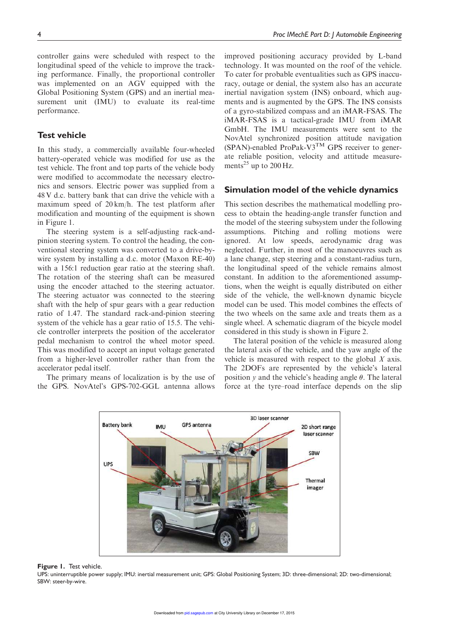controller gains were scheduled with respect to the longitudinal speed of the vehicle to improve the tracking performance. Finally, the proportional controller was implemented on an AGV equipped with the Global Positioning System (GPS) and an inertial measurement unit (IMU) to evaluate its real-time performance.

### Test vehicle

In this study, a commercially available four-wheeled battery-operated vehicle was modified for use as the test vehicle. The front and top parts of the vehicle body were modified to accommodate the necessary electronics and sensors. Electric power was supplied from a 48 V d.c. battery bank that can drive the vehicle with a maximum speed of 20 km/h. The test platform after modification and mounting of the equipment is shown in Figure 1.

The steering system is a self-adjusting rack-andpinion steering system. To control the heading, the conventional steering system was converted to a drive-bywire system by installing a d.c. motor (Maxon RE-40) with a 156:1 reduction gear ratio at the steering shaft. The rotation of the steering shaft can be measured using the encoder attached to the steering actuator. The steering actuator was connected to the steering shaft with the help of spur gears with a gear reduction ratio of 1.47. The standard rack-and-pinion steering system of the vehicle has a gear ratio of 15.5. The vehicle controller interprets the position of the accelerator pedal mechanism to control the wheel motor speed. This was modified to accept an input voltage generated from a higher-level controller rather than from the accelerator pedal itself.

The primary means of localization is by the use of the GPS. NovAtel's GPS-702-GGL antenna allows improved positioning accuracy provided by L-band technology. It was mounted on the roof of the vehicle. To cater for probable eventualities such as GPS inaccuracy, outage or denial, the system also has an accurate inertial navigation system (INS) onboard, which augments and is augmented by the GPS. The INS consists of a gyro-stabilized compass and an iMAR-FSAS. The iMAR-FSAS is a tactical-grade IMU from iMAR GmbH. The IMU measurements were sent to the NovAtel synchronized position attitude navigation  $(SPAN)$ -enabled ProPak-V3<sup>TM</sup> GPS receiver to generate reliable position, velocity and attitude measurements<sup>25</sup> up to 200 Hz.

### Simulation model of the vehicle dynamics

This section describes the mathematical modelling process to obtain the heading-angle transfer function and the model of the steering subsystem under the following assumptions. Pitching and rolling motions were ignored. At low speeds, aerodynamic drag was neglected. Further, in most of the manoeuvres such as a lane change, step steering and a constant-radius turn, the longitudinal speed of the vehicle remains almost constant. In addition to the aforementioned assumptions, when the weight is equally distributed on either side of the vehicle, the well-known dynamic bicycle model can be used. This model combines the effects of the two wheels on the same axle and treats them as a single wheel. A schematic diagram of the bicycle model considered in this study is shown in Figure 2.

The lateral position of the vehicle is measured along the lateral axis of the vehicle, and the yaw angle of the vehicle is measured with respect to the global  $X$  axis. The 2DOFs are represented by the vehicle's lateral position y and the vehicle's heading angle  $\theta$ . The lateral force at the tyre–road interface depends on the slip



Figure 1. Test vehicle.

UPS: uninterruptible power supply; IMU: inertial measurement unit; GPS: Global Positioning System; 3D: three-dimensional; 2D: two-dimensional; SBW: steer-by-wire.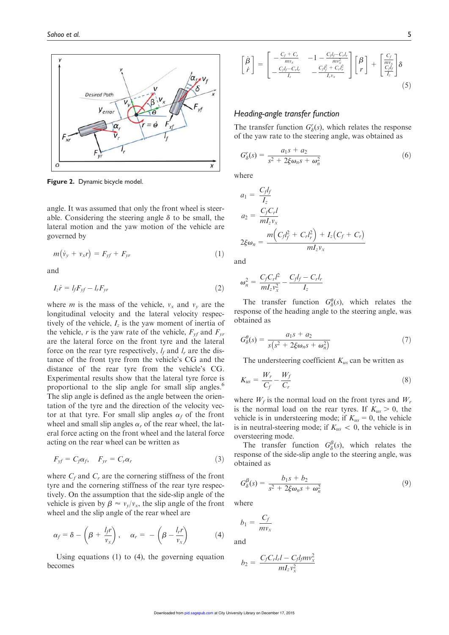

Figure 2. Dynamic bicycle model.

angle. It was assumed that only the front wheel is steerable. Considering the steering angle  $\delta$  to be small, the lateral motion and the yaw motion of the vehicle are governed by

$$
m(\dot{v}_y + v_x r) = F_{yf} + F_{yr} \tag{1}
$$

and

$$
I_z \dot{r} = l_f F_{yf} - l_r F_{yr} \tag{2}
$$

where *m* is the mass of the vehicle,  $v_x$  and  $v_y$  are the longitudinal velocity and the lateral velocity respectively of the vehicle,  $I_z$  is the yaw moment of inertia of the vehicle, r is the yaw rate of the vehicle,  $F_{vf}$  and  $F_{vr}$ are the lateral force on the front tyre and the lateral force on the rear tyre respectively,  $l_f$  and  $l_r$  are the distance of the front tyre from the vehicle's CG and the distance of the rear tyre from the vehicle's CG. Experimental results show that the lateral tyre force is proportional to the slip angle for small slip angles.<sup>6</sup> The slip angle is defined as the angle between the orientation of the tyre and the direction of the velocity vector at that tyre. For small slip angles  $\alpha_f$  of the front wheel and small slip angles  $\alpha_r$  of the rear wheel, the lateral force acting on the front wheel and the lateral force acting on the rear wheel can be written as

$$
F_{yf} = C_f \alpha_f, \quad F_{yr} = C_r \alpha_r \tag{3}
$$

where  $C_f$  and  $C_r$  are the cornering stiffness of the front tyre and the cornering stiffness of the rear tyre respectively. On the assumption that the side-slip angle of the vehicle is given by  $\beta \approx v_y/v_x$ , the slip angle of the front wheel and the slip angle of the rear wheel are

$$
\alpha_f = \delta - \left(\beta + \frac{l_f r}{v_x}\right), \quad \alpha_r = -\left(\beta - \frac{l_r r}{v_x}\right) \tag{4}
$$

Using equations (1) to (4), the governing equation becomes

$$
\begin{bmatrix} \dot{\beta} \\ \dot{r} \end{bmatrix} = \begin{bmatrix} -\frac{C_f + C_r}{m v_x} & -1 - \frac{C_f f_r - C_r I_r}{m v_x^2} \\ -\frac{C_f f_r - C_r I_r}{I_z} & -\frac{C_f f_f^2 + C_r f_r^2}{I_z v_x} \end{bmatrix} \begin{bmatrix} \beta \\ r \end{bmatrix} + \begin{bmatrix} \frac{C_f}{m v_x} \\ \frac{C_f I_r}{I_z} \end{bmatrix} \delta
$$
\n(5)

### *Heading-angle transfer function*

The transfer function  $G^r_\delta(s)$ , which relates the response of the yaw rate to the steering angle, was obtained as

$$
G'_{\delta}(s) = \frac{a_1s + a_2}{s^2 + 2\xi\omega_n s + \omega_n^2}
$$
 (6)

where

$$
a_1 = \frac{C_f l_f}{I_z}
$$
  
\n
$$
a_2 = \frac{C_f C_r l}{m I_z v_x}
$$
  
\n
$$
2\xi \omega_n = \frac{m \left(C_f l_f^2 + C_r l_r^2\right) + I_z (C_f + C_r)}{m I_z v_x}
$$

and

$$
\omega_n^2 = \frac{C_f C_r l^2}{m I_z v_x^2} - \frac{C_f l_f - C_r l_r}{I_z}
$$

The transfer function  $G_8^{\theta}(s)$ , which relates the response of the heading angle to the steering angle, was obtained as

$$
G_{\delta}^{\theta}(s) = \frac{a_1 s + a_2}{s(s^2 + 2\xi\omega_n s + \omega_n^2)}
$$
(7)

The understeering coefficient  $K_{us}$  can be written as

$$
K_{us} = \frac{W_r}{C_f} - \frac{W_f}{C_r} \tag{8}
$$

where  $W_f$  is the normal load on the front tyres and  $W_i$ is the normal load on the rear tyres. If  $K_{us} > 0$ , the vehicle is in understeering mode; if  $K_{us} = 0$ , the vehicle is in neutral-steering mode; if  $K_{us} < 0$ , the vehicle is in oversteering mode.

The transfer function  $G_{\delta}^{\beta}(s)$ , which relates the response of the side-slip angle to the steering angle, was obtained as

$$
G_{\delta}^{\beta}(s) = \frac{b_1s + b_2}{s^2 + 2\xi\omega_n s + \omega_n^2}
$$
\n(9)

where

$$
b_1 = \frac{C_f}{m v_x}
$$

and

$$
b_2 = \frac{C_f C_r l_r l - C_f l_f m v_x^2}{m I_z v_x^2}
$$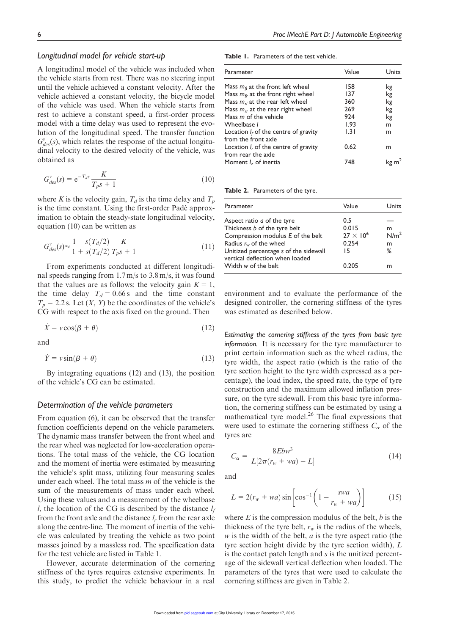### *Longitudinal model for vehicle start-up*

A longitudinal model of the vehicle was included when the vehicle starts from rest. There was no steering input until the vehicle achieved a constant velocity. After the vehicle achieved a constant velocity, the bicycle model of the vehicle was used. When the vehicle starts from rest to achieve a constant speed, a first-order process model with a time delay was used to represent the evolution of the longitudinal speed. The transfer function  $G_{des}^v(s)$ , which relates the response of the actual longitudinal velocity to the desired velocity of the vehicle, was obtained as

$$
G_{des}^{\nu}(s) = e^{-T_d s} \frac{K}{T_p s + 1}
$$
\n
$$
(10)
$$

where K is the velocity gain,  $T_d$  is the time delay and  $T_p$ is the time constant. Using the first-order Padé approximation to obtain the steady-state longitudinal velocity, equation (10) can be written as

$$
G_{des}^{\nu}(s) \approx \frac{1 - s(T_d/2)}{1 + s(T_d/2)} \frac{K}{T_p s + 1}
$$
\n(11)

From experiments conducted at different longitudinal speeds ranging from 1.7 m/s to 3.8 m/s, it was found that the values are as follows: the velocity gain  $K = 1$ , the time delay  $T_d = 0.66$  s and the time constant  $T_p = 2.2$  s. Let  $(X, Y)$  be the coordinates of the vehicle's CG with respect to the axis fixed on the ground. Then

$$
\dot{X} = v \cos(\beta + \theta) \tag{12}
$$

and

$$
\dot{Y} = v \sin(\beta + \theta) \tag{13}
$$

By integrating equations (12) and (13), the position of the vehicle's CG can be estimated.

#### *Determination of the vehicle parameters*

From equation (6), it can be observed that the transfer function coefficients depend on the vehicle parameters. The dynamic mass transfer between the front wheel and the rear wheel was neglected for low-acceleration operations. The total mass of the vehicle, the CG location and the moment of inertia were estimated by measuring the vehicle's split mass, utilizing four measuring scales under each wheel. The total mass  $m$  of the vehicle is the sum of the measurements of mass under each wheel. Using these values and a measurement of the wheelbase l, the location of the CG is described by the distance  $l_f$ from the front axle and the distance  $l_r$  from the rear axle along the centre-line. The moment of inertia of the vehicle was calculated by treating the vehicle as two point masses joined by a massless rod. The specification data for the test vehicle are listed in Table 1.

However, accurate determination of the cornering stiffness of the tyres requires extensive experiments. In this study, to predict the vehicle behaviour in a real Table 1. Parameters of the test vehicle.

| Parameter                                                     | Value | Units |  |
|---------------------------------------------------------------|-------|-------|--|
| Mass $m_{\rm fl}$ at the front left wheel                     | 158   | kg    |  |
| Mass $m_{fr}$ at the front right wheel                        | 137   | kg    |  |
| Mass $m_{rl}$ at the rear left wheel                          | 360   | kg    |  |
| Mass $m_{rr}$ at the rear right wheel                         | 269   | kg    |  |
| Mass m of the vehicle                                         | 924   | kg    |  |
| Wheelbase I                                                   | 1.93  | m     |  |
| Location $l_f$ of the centre of gravity                       | 1.31  | m     |  |
| from the front axle                                           |       |       |  |
| Location $l_r$ of the centre of gravity<br>from rear the axle | 0.62  | m     |  |
| Moment $l_z$ of inertia                                       | 748   |       |  |

Table 2. Parameters of the tyre.

| Parameter                                                                | Value            | <b>Units</b>     |
|--------------------------------------------------------------------------|------------------|------------------|
| Aspect ratio a of the tyre                                               | 0.5              |                  |
| Thickness b of the tyre belt                                             | 0.015            | m                |
| Compression modulus E of the belt                                        | $27 \times 10^6$ | N/m <sup>2</sup> |
| Radius $r_w$ of the wheel                                                | 0.254            | m                |
| Unitized percentage s of the sidewall<br>vertical deflection when loaded | 15               | ℅                |
| Width w of the belt                                                      | 0.205            | m                |

environment and to evaluate the performance of the designed controller, the cornering stiffness of the tyres was estimated as described below.

*Estimating the cornering stiffness of the tyres from basic tyre information.* It is necessary for the tyre manufacturer to print certain information such as the wheel radius, the tyre width, the aspect ratio (which is the ratio of the tyre section height to the tyre width expressed as a percentage), the load index, the speed rate, the type of tyre construction and the maximum allowed inflation pressure, on the tyre sidewall. From this basic tyre information, the cornering stiffness can be estimated by using a mathematical tyre model.<sup>26</sup> The final expressions that were used to estimate the cornering stiffness  $C_{\alpha}$  of the tyres are

$$
C_{\alpha} = \frac{8Ebw^3}{L[2\pi(r_w + wa) - L]}
$$
\n(14)

and

$$
L = 2(r_w + wa)\sin\left[\cos^{-1}\left(1 - \frac{swa}{r_w + wa}\right)\right] \tag{15}
$$

where  $E$  is the compression modulus of the belt,  $b$  is the thickness of the tyre belt,  $r_w$  is the radius of the wheels,  $w$  is the width of the belt,  $a$  is the tyre aspect ratio (the tyre section height divide by the tyre section width), L is the contact patch length and s is the unitized percentage of the sidewall vertical deflection when loaded. The parameters of the tyres that were used to calculate the cornering stiffness are given in Table 2.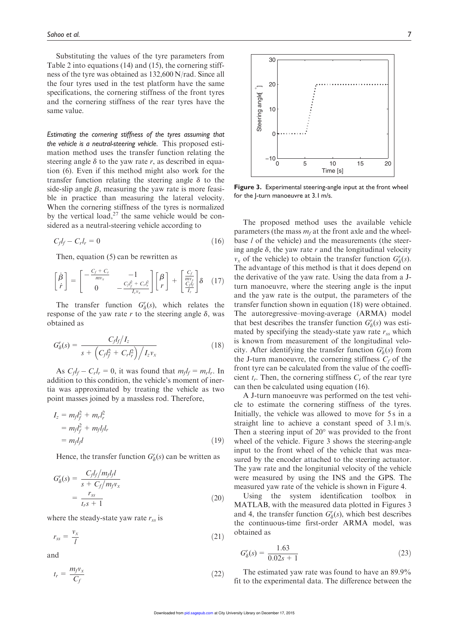Substituting the values of the tyre parameters from Table 2 into equations (14) and (15), the cornering stiffness of the tyre was obtained as 132,600 N/rad. Since all the four tyres used in the test platform have the same specifications, the cornering stiffness of the front tyres and the cornering stiffness of the rear tyres have the same value.

*Estimating the cornering stiffness of the tyres assuming that the vehicle is a neutral-steering vehicle.* This proposed estimation method uses the transfer function relating the steering angle  $\delta$  to the yaw rate r, as described in equation (6). Even if this method might also work for the transfer function relating the steering angle  $\delta$  to the side-slip angle  $\beta$ , measuring the yaw rate is more feasible in practice than measuring the lateral velocity. When the cornering stiffness of the tyres is normalized by the vertical load, $27$  the same vehicle would be considered as a neutral-steering vehicle according to

$$
C_f l_f - C_r l_r = 0 \tag{16}
$$

Then, equation (5) can be rewritten as

$$
\begin{bmatrix} \dot{\beta} \\ \dot{r} \end{bmatrix} = \begin{bmatrix} -\frac{C_f + C_r}{m v_x} & -1 \\ 0 & -\frac{C_f l_f^2 + C_r l_r^2}{I_z v_x} \end{bmatrix} \begin{bmatrix} \beta \\ r \end{bmatrix} + \begin{bmatrix} \frac{C_f}{m v_x} \\ \frac{C_f l_f}{I_z} \end{bmatrix} \delta \quad (17)
$$

The transfer function  $G^r_\delta(s)$ , which relates the response of the yaw rate r to the steering angle  $\delta$ , was obtained as

$$
G_{\delta}^{r}(s) = \frac{C_{f}l_{f}/I_{z}}{s + \left(C_{f}l_{f}^{2} + C_{r}l_{r}^{2}\right)/I_{z}v_{x}}
$$
(18)

As  $C_f l_f - C_r l_r = 0$ , it was found that  $m_f l_f = m_r l_r$ . In addition to this condition, the vehicle's moment of inertia was approximated by treating the vehicle as two point masses joined by a massless rod. Therefore,

$$
I_z = m_f l_f^2 + m_r l_r^2
$$
  
=  $m_f l_f^2 + m_f l_f l_r$   
=  $m_f l_f l$  (19)

Hence, the transfer function  $G_{\delta}^{r}(s)$  can be written as

$$
G'_{\delta}(s) = \frac{C_f l_f / m_f l_f l}{s + C_f / m_f v_x}
$$

$$
= \frac{r_{ss}}{t_r s + 1}
$$
(20)

where the steady-state yaw rate  $r_{ss}$  is

$$
r_{ss} = \frac{v_x}{l} \tag{21}
$$

and

$$
t_r = \frac{m_f v_x}{C_f} \tag{22}
$$



Figure 3. Experimental steering-angle input at the front wheel for the J-turn manoeuvre at 3.1 m/s.

The proposed method uses the available vehicle parameters (the mass  $m_f$  at the front axle and the wheelbase *l* of the vehicle) and the measurements (the steering angle  $\delta$ , the yaw rate r and the longitudinal velocity  $v_x$  of the vehicle) to obtain the transfer function  $G'_{\delta}(s)$ . The advantage of this method is that it does depend on the derivative of the yaw rate. Using the data from a Jturn manoeuvre, where the steering angle is the input and the yaw rate is the output, the parameters of the transfer function shown in equation (18) were obtained. The autoregressive–moving-average (ARMA) model that best describes the transfer function  $G_{\delta}^{r}(s)$  was estimated by specifying the steady-state yaw rate  $r_{ss}$  which is known from measurement of the longitudinal velocity. After identifying the transfer function  $G'_{\delta}(s)$  from the J-turn manoeuvre, the cornering stiffness  $C_f$  of the front tyre can be calculated from the value of the coefficient  $t_r$ . Then, the cornering stiffness  $C_r$  of the rear tyre can then be calculated using equation (16).

A J-turn manoeuvre was performed on the test vehicle to estimate the cornering stiffness of the tyres. Initially, the vehicle was allowed to move for 5s in a straight line to achieve a constant speed of 3.1 m/s. Then a steering input of  $20^{\circ}$  was provided to the front wheel of the vehicle. Figure 3 shows the steering-angle input to the front wheel of the vehicle that was measured by the encoder attached to the steering actuator. The yaw rate and the longitunial velocity of the vehicle were measured by using the INS and the GPS. The measured yaw rate of the vehicle is shown in Figure 4.

Using the system identification toolbox in MATLAB, with the measured data plotted in Figures 3 and 4, the transfer function  $G^r_\delta(s)$ , which best describes the continuous-time first-order ARMA model, was obtained as

$$
G'_{\delta}(s) = \frac{1.63}{0.02s + 1} \tag{23}
$$

The estimated yaw rate was found to have an 89.9% fit to the experimental data. The difference between the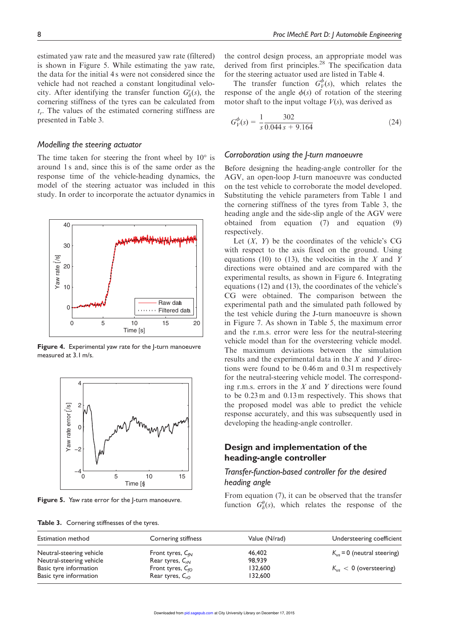#### *Modelling the steering actuator*

The time taken for steering the front wheel by  $10^{\circ}$  is around 1 s and, since this is of the same order as the response time of the vehicle-heading dynamics, the model of the steering actuator was included in this study. In order to incorporate the actuator dynamics in



Figure 4. Experimental yaw rate for the J-turn manoeuvre measured at 3.1 m/s.



Figure 5. Yaw rate error for the J-turn manoeuvre.

Table 3. Cornering stiffnesses of the tyres.

the control design process, an appropriate model was derived from first principles.<sup>28</sup> The specification data for the steering actuator used are listed in Table 4.

The transfer function  $G_V^{\phi}(s)$ , which relates the response of the angle  $\phi(s)$  of rotation of the steering motor shaft to the input voltage  $V(s)$ , was derived as

$$
G_V^{\phi}(s) = \frac{1}{s} \frac{302}{0.044 s + 9.164}
$$
 (24)

### *Corroboration using the J-turn manoeuvre*

Before designing the heading-angle controller for the AGV, an open-loop J-turn manoeuvre was conducted on the test vehicle to corroborate the model developed. Substituting the vehicle parameters from Table 1 and the cornering stiffness of the tyres from Table 3, the heading angle and the side-slip angle of the AGV were obtained from equation (7) and equation (9) respectively.

Let  $(X, Y)$  be the coordinates of the vehicle's CG with respect to the axis fixed on the ground. Using equations (10) to (13), the velocities in the  $X$  and  $Y$ directions were obtained and are compared with the experimental results, as shown in Figure 6. Integrating equations (12) and (13), the coordinates of the vehicle's CG were obtained. The comparison between the experimental path and the simulated path followed by the test vehicle during the J-turn manoeuvre is shown in Figure 7. As shown in Table 5, the maximum error and the r.m.s. error were less for the neutral-steering vehicle model than for the oversteering vehicle model. The maximum deviations between the simulation results and the experimental data in the X and Y directions were found to be 0.46 m and 0.31 m respectively for the neutral-steering vehicle model. The corresponding r.m.s. errors in the  $X$  and  $Y$  directions were found to be 0.23 m and 0.13 m respectively. This shows that the proposed model was able to predict the vehicle response accurately, and this was subsequently used in developing the heading-angle controller.

### Design and implementation of the heading-angle controller

### *Transfer-function-based controller for the desired heading angle*

From equation (7), it can be observed that the transfer function  $G_{\delta}^{\theta}(s)$ , which relates the response of the

| Cornering stiffness                           | Value (N/rad)        | Understeering coefficient          |
|-----------------------------------------------|----------------------|------------------------------------|
| Front tyres, $C_{fN}$                         | 46,402<br>98,939     | $K_{us}$ = 0 (neutral steering)    |
| Front tyres, $C_{f0}$<br>Rear tyres, $C_{rO}$ | 132,600<br>132,600   | $K_{\text{us}} < 0$ (oversteering) |
|                                               | Rear tyres, $C_{rN}$ |                                    |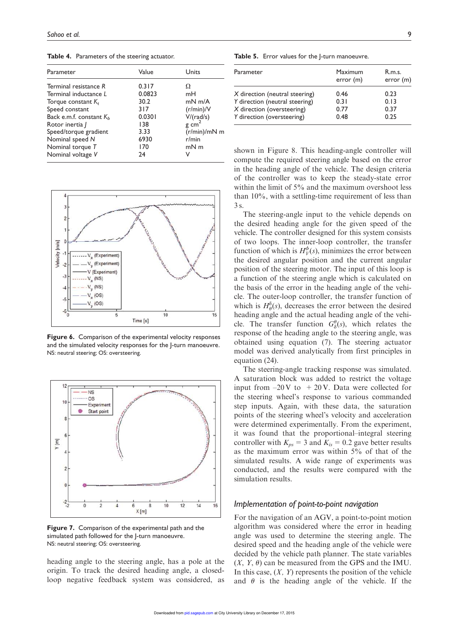Table 4. Parameters of the steering actuator.

| Parameter                                                                                                                                                                                                                       | Value                                                                        | Units                                                                                                    |
|---------------------------------------------------------------------------------------------------------------------------------------------------------------------------------------------------------------------------------|------------------------------------------------------------------------------|----------------------------------------------------------------------------------------------------------|
| Terminal resistance R<br>Terminal inductance L<br>Torque constant $K_t$<br>Speed constant<br>Back e.m.f. constant $K_h$<br>Rotor inertia /<br>Speed/torque gradient<br>Nominal speed N<br>Nominal torque T<br>Nominal voltage V | 0.317<br>0.0823<br>30.2<br>317<br>0.0301<br>138<br>3.33<br>6930<br>170<br>24 | Ω<br>mH<br>$mN$ $m/A$<br>(r/min)/V<br>V/(rad/s)<br>$g \text{ cm}^2$<br>$(r/min)/mN$ m<br>r/min<br>$mN$ m |



Figure 6. Comparison of the experimental velocity responses and the simulated velocity responses for the J-turn manoeuvre. NS: neutral steering; OS: oversteering.



Figure 7. Comparison of the experimental path and the simulated path followed for the J-turn manoeuvre. NS: neutral steering; OS: oversteering.

heading angle to the steering angle, has a pole at the origin. To track the desired heading angle, a closedloop negative feedback system was considered, as

Table 5. Error values for the *l*-turn manoeuvre.

| Parameter                                                                                                                    | Maximum<br>error(m)          | R.m.s.<br>error (m)          |
|------------------------------------------------------------------------------------------------------------------------------|------------------------------|------------------------------|
| X direction (neutral steering)<br>Y direction (neutral steering)<br>X direction (oversteering)<br>Y direction (oversteering) | 0.46<br>0.31<br>0.77<br>0.48 | 0.23<br>0.13<br>0.37<br>0.25 |

shown in Figure 8. This heading-angle controller will compute the required steering angle based on the error in the heading angle of the vehicle. The design criteria of the controller was to keep the steady-state error within the limit of 5% and the maximum overshoot less than 10%, with a settling-time requirement of less than 3 s.

The steering-angle input to the vehicle depends on the desired heading angle for the given speed of the vehicle. The controller designed for this system consists of two loops. The inner-loop controller, the transfer function of which is  $H_V^{\phi}(s)$ , minimizes the error between the desired angular position and the current angular position of the steering motor. The input of this loop is a function of the steering angle which is calculated on the basis of the error in the heading angle of the vehicle. The outer-loop controller, the transfer function of which is  $H_{\theta}^{\delta}(s)$ , decreases the error between the desired heading angle and the actual heading angle of the vehicle. The transfer function  $G^{\theta}_{\delta}(s)$ , which relates the response of the heading angle to the steering angle, was obtained using equation (7). The steering actuator model was derived analytically from first principles in equation (24).

The steering-angle tracking response was simulated. A saturation block was added to restrict the voltage input from  $-20$  V to  $+20$  V. Data were collected for the steering wheel's response to various commanded step inputs. Again, with these data, the saturation points of the steering wheel's velocity and acceleration were determined experimentally. From the experiment, it was found that the proportional–integral steering controller with  $K_{ps} = 3$  and  $K_{is} = 0.2$  gave better results as the maximum error was within 5% of that of the simulated results. A wide range of experiments was conducted, and the results were compared with the simulation results.

### *Implementation of point-to-point navigation*

For the navigation of an AGV, a point-to-point motion algorithm was considered where the error in heading angle was used to determine the steering angle. The desired speed and the heading angle of the vehicle were decided by the vehicle path planner. The state variables  $(X, Y, \theta)$  can be measured from the GPS and the IMU. In this case,  $(X, Y)$  represents the position of the vehicle and  $\theta$  is the heading angle of the vehicle. If the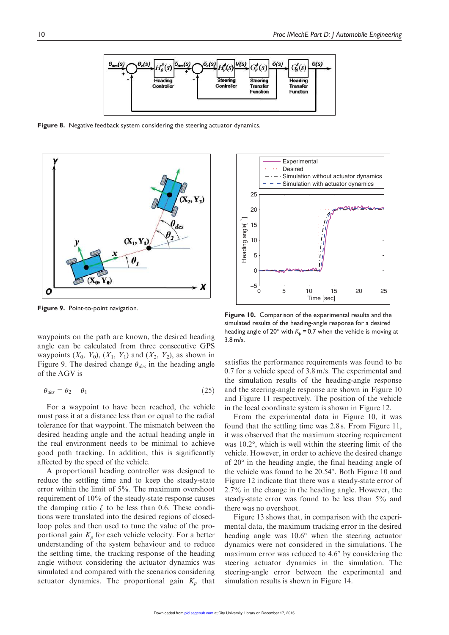

Figure 8. Negative feedback system considering the steering actuator dynamics.



Figure 9. Point-to-point navigation.

waypoints on the path are known, the desired heading angle can be calculated from three consecutive GPS waypoints  $(X_0, Y_0)$ ,  $(X_1, Y_1)$  and  $(X_2, Y_2)$ , as shown in Figure 9. The desired change  $\theta_{des}$  in the heading angle of the AGV is

$$
\theta_{des} = \theta_2 - \theta_1 \tag{25}
$$

For a waypoint to have been reached, the vehicle must pass it at a distance less than or equal to the radial tolerance for that waypoint. The mismatch between the desired heading angle and the actual heading angle in the real environment needs to be minimal to achieve good path tracking. In addition, this is significantly affected by the speed of the vehicle.

A proportional heading controller was designed to reduce the settling time and to keep the steady-state error within the limit of 5%. The maximum overshoot requirement of 10% of the steady-state response causes the damping ratio  $\zeta$  to be less than 0.6. These conditions were translated into the desired regions of closedloop poles and then used to tune the value of the proportional gain  $K_p$  for each vehicle velocity. For a better understanding of the system behaviour and to reduce the settling time, the tracking response of the heading angle without considering the actuator dynamics was simulated and compared with the scenarios considering actuator dynamics. The proportional gain  $K_p$  that



Figure 10. Comparison of the experimental results and the simulated results of the heading-angle response for a desired heading angle of 20 $\degree$  with  $K_p = 0.7$  when the vehicle is moving at 3.8 m/s.

satisfies the performance requirements was found to be 0.7 for a vehicle speed of 3.8 m/s. The experimental and the simulation results of the heading-angle response and the steering-angle response are shown in Figure 10 and Figure 11 respectively. The position of the vehicle in the local coordinate system is shown in Figure 12.

From the experimental data in Figure 10, it was found that the settling time was 2.8 s. From Figure 11, it was observed that the maximum steering requirement was  $10.2^{\circ}$ , which is well within the steering limit of the vehicle. However, in order to achieve the desired change of  $20^{\circ}$  in the heading angle, the final heading angle of the vehicle was found to be  $20.54^{\circ}$ . Both Figure 10 and Figure 12 indicate that there was a steady-state error of 2.7% in the change in the heading angle. However, the steady-state error was found to be less than 5% and there was no overshoot.

Figure 13 shows that, in comparison with the experimental data, the maximum tracking error in the desired heading angle was  $10.6^{\circ}$  when the steering actuator dynamics were not considered in the simulations. The maximum error was reduced to  $4.6^\circ$  by considering the steering actuator dynamics in the simulation. The steering-angle error between the experimental and simulation results is shown in Figure 14.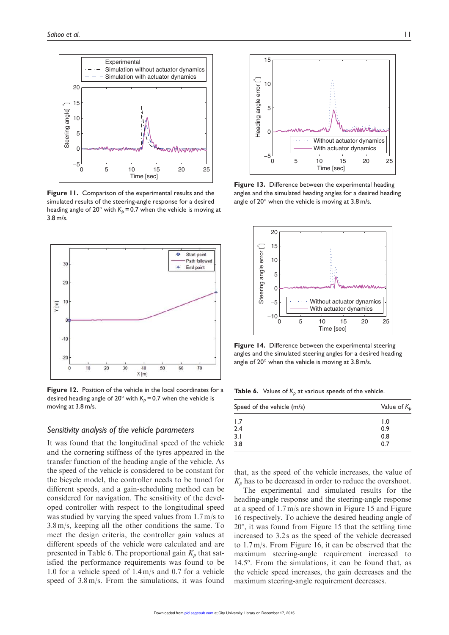

Figure 11. Comparison of the experimental results and the simulated results of the steering-angle response for a desired heading angle of 20 $\degree$  with  $K_p = 0.7$  when the vehicle is moving at 3.8 m/s.



Figure 12. Position of the vehicle in the local coordinates for a desired heading angle of 20 $\degree$  with  $K_b = 0.7$  when the vehicle is moving at 3.8 m/s.

### *Sensitivity analysis of the vehicle parameters*

It was found that the longitudinal speed of the vehicle and the cornering stiffness of the tyres appeared in the transfer function of the heading angle of the vehicle. As the speed of the vehicle is considered to be constant for the bicycle model, the controller needs to be tuned for different speeds, and a gain-scheduling method can be considered for navigation. The sensitivity of the developed controller with respect to the longitudinal speed was studied by varying the speed values from 1.7 m/s to 3.8 m/s, keeping all the other conditions the same. To meet the design criteria, the controller gain values at different speeds of the vehicle were calculated and are presented in Table 6. The proportional gain  $K_p$  that satisfied the performance requirements was found to be 1.0 for a vehicle speed of 1.4 m/s and 0.7 for a vehicle speed of 3.8 m/s. From the simulations, it was found



Figure 13. Difference between the experimental heading angles and the simulated heading angles for a desired heading angle of  $20^{\circ}$  when the vehicle is moving at  $3.8$  m/s.



Figure 14. Difference between the experimental steering angles and the simulated steering angles for a desired heading angle of  $20^{\circ}$  when the vehicle is moving at  $3.8$  m/s.

**Table 6.** Values of  $K_p$  at various speeds of the vehicle.

| Speed of the vehicle (m/s) | Value of $K_b$ |  |
|----------------------------|----------------|--|
| 1.7                        | 1.0            |  |
| 2.4                        | 0.9            |  |
| 3.1                        | 0.8            |  |
| 3.8                        | 0.7            |  |

that, as the speed of the vehicle increases, the value of  $K_p$  has to be decreased in order to reduce the overshoot.

The experimental and simulated results for the heading-angle response and the steering-angle response at a speed of 1.7 m/s are shown in Figure 15 and Figure 16 respectively. To achieve the desired heading angle of  $20^{\circ}$ , it was found from Figure 15 that the settling time increased to 3.2 s as the speed of the vehicle decreased to 1.7 m/s. From Figure 16, it can be observed that the maximum steering-angle requirement increased to 14.5°. From the simulations, it can be found that, as the vehicle speed increases, the gain decreases and the maximum steering-angle requirement decreases.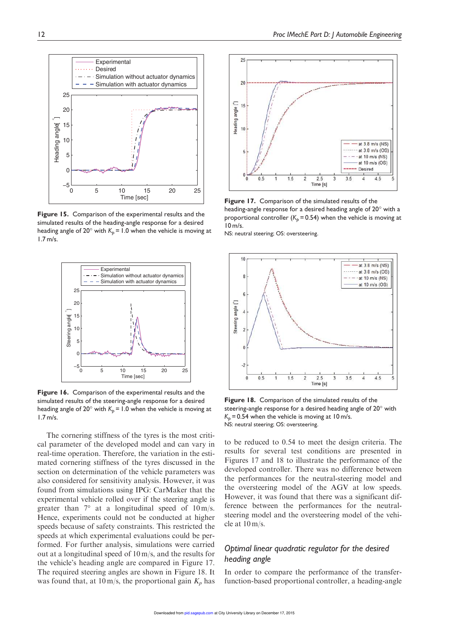

Figure 15. Comparison of the experimental results and the simulated results of the heading-angle response for a desired heading angle of 20 $\degree$  with  $K_b$  = 1.0 when the vehicle is moving at  $1.7$  m/s.



Figure 16. Comparison of the experimental results and the simulated results of the steering-angle response for a desired heading angle of 20° with  $K_p = 1.0$  when the vehicle is moving at 1.7 m/s.

The cornering stiffness of the tyres is the most critical parameter of the developed model and can vary in real-time operation. Therefore, the variation in the estimated cornering stiffness of the tyres discussed in the section on determination of the vehicle parameters was also considered for sensitivity analysis. However, it was found from simulations using IPG: CarMaker that the experimental vehicle rolled over if the steering angle is greater than  $7^{\circ}$  at a longitudinal speed of 10 m/s. Hence, experiments could not be conducted at higher speeds because of safety constraints. This restricted the speeds at which experimental evaluations could be performed. For further analysis, simulations were carried out at a longitudinal speed of 10 m/s, and the results for the vehicle's heading angle are compared in Figure 17. The required steering angles are shown in Figure 18. It was found that, at 10 m/s, the proportional gain  $K_p$  has



Figure 17. Comparison of the simulated results of the heading-angle response for a desired heading angle of  $20^{\circ}$  with a proportional controller  $(K_b = 0.54)$  when the vehicle is moving at 10 m/s.

NS: neutral steering; OS: oversteering.



Figure 18. Comparison of the simulated results of the steering-angle response for a desired heading angle of  $20^{\circ}$  with  $K_p = 0.54$  when the vehicle is moving at 10 m/s. NS: neutral steering; OS: oversteering.

to be reduced to 0.54 to meet the design criteria. The results for several test conditions are presented in Figures 17 and 18 to illustrate the performance of the developed controller. There was no difference between the performances for the neutral-steering model and the oversteering model of the AGV at low speeds. However, it was found that there was a significant difference between the performances for the neutralsteering model and the oversteering model of the vehicle at 10 m/s.

### *Optimal linear quadratic regulator for the desired heading angle*

In order to compare the performance of the transferfunction-based proportional controller, a heading-angle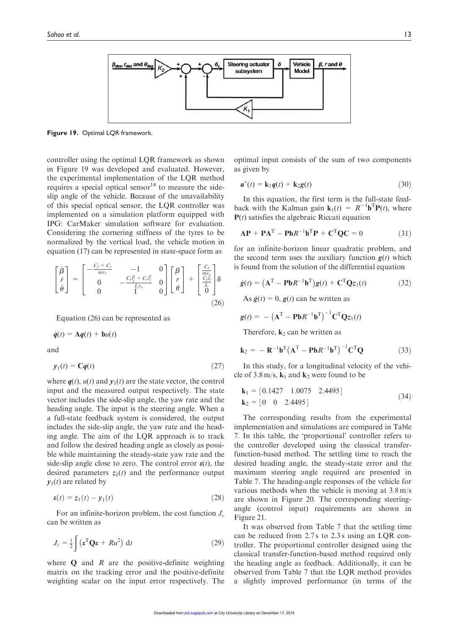

Figure 19. Optimal LQR framework.

controller using the optimal LQR framework as shown in Figure 19 was developed and evaluated. However, the experimental implementation of the LQR method requires a special optical sensor $14$  to measure the sideslip angle of the vehicle. Because of the unavailability of this special optical sensor, the LQR controller was implemented on a simulation platform equipped with IPG: CarMaker simulation software for evaluation. Considering the cornering stiffness of the tyres to be normalized by the vertical load, the vehicle motion in equation (17) can be represented in state-space form as

$$
\begin{bmatrix} \dot{\beta} \\ \dot{r} \\ \dot{\theta} \end{bmatrix} = \begin{bmatrix} -\frac{C_f + C_r}{mv_x} & -1 & 0 \\ 0 & -\frac{C_f l_f^2 + C_r l_r^2}{I_z v_x} & 0 \\ 0 & 1 & 0 \end{bmatrix} \begin{bmatrix} \beta \\ r \\ \theta \end{bmatrix} + \begin{bmatrix} \frac{C_f}{mv_x} \\ \frac{C_f l_f}{I_z} \\ 0 \end{bmatrix} \delta
$$
\n(26)

Equation (26) can be represented as

$$
\dot{\boldsymbol{q}}(t) = \mathbf{A}\boldsymbol{q}(t) + \mathbf{b}\boldsymbol{u}(t)
$$

and

$$
y_1(t) = \mathbf{C}q(t) \tag{27}
$$

where  $q(t)$ ,  $u(t)$  and  $y_1(t)$  are the state vector, the control input and the measured output respectively. The state vector includes the side-slip angle, the yaw rate and the heading angle. The input is the steering angle. When a a full-state feedback system is considered, the output includes the side-slip angle, the yaw rate and the heading angle. The aim of the LQR approach is to track and follow the desired heading angle as closely as possible while maintaining the steady-state yaw rate and the side-slip angle close to zero. The control error  $\varepsilon(t)$ , the desired parameters  $z_1(t)$  and the performance output  $y_1(t)$  are related by

$$
\mathbf{g}(t) = \mathbf{z}_1(t) - \mathbf{y}_1(t) \tag{28}
$$

For an infinite-horizon problem, the cost function  $J_c$ can be written as

$$
J_c = \frac{1}{2} \int (\mathbf{\varepsilon}^{\mathrm{T}} \mathbf{Q} \mathbf{\varepsilon} + R u^2) dt
$$
 (29)

where  $Q$  and  $R$  are the positive-definite weighting matrix on the tracking error and the positive-definite weighting scalar on the input error respectively. The optimal input consists of the sum of two components as given by

$$
\mathbf{u}^*(t) = \mathbf{k}_1 \mathbf{q}(t) + \mathbf{k}_2 \mathbf{g}(t) \tag{30}
$$

In this equation, the first term is the full-state feedback with the Kalman gain  $\mathbf{k}_1(t) = R^{-1} \mathbf{b}^T \mathbf{P}(t)$ , where  $P(t)$  satisfies the algebraic Riccati equation

$$
\mathbf{AP} + \mathbf{PA}^{\mathrm{T}} - \mathbf{Pb}R^{-1}\mathbf{b}^{\mathrm{T}}\mathbf{P} + \mathbf{C}^{\mathrm{T}}\mathbf{Q}\mathbf{C} = 0 \tag{31}
$$

for an infinite-horizon linear quadratic problem, and the second term uses the auxiliary function  $g(t)$  which is found from the solution of the differential equation

$$
\dot{\mathbf{g}}(t) = (\mathbf{A}^{\mathrm{T}} - \mathbf{P} \mathbf{b} R^{-1} \mathbf{b}^{\mathrm{T}}) \mathbf{g}(t) + \mathbf{C}^{\mathrm{T}} \mathbf{Q} \mathbf{z}_1(t) \tag{32}
$$

As  $\dot{g}(t) = 0$ ,  $g(t)$  can be written as

$$
\mathbf{g}(t) = -(\mathbf{A}^{\mathrm{T}} - \mathbf{P} \mathbf{b} R^{-1} \mathbf{b}^{\mathrm{T}})^{-1} \mathbf{C}^{\mathrm{T}} \mathbf{Q} \mathbf{z}_1(t)
$$

Therefore,  $k_2$  can be written as

$$
\mathbf{k}_2 = -\mathbf{R}^{-1}\mathbf{b}^{\mathrm{T}}(\mathbf{A}^{\mathrm{T}} - \mathbf{P}\mathbf{b}\mathbf{R}^{-1}\mathbf{b}^{\mathrm{T}})^{-1}\mathbf{C}^{\mathrm{T}}\mathbf{Q}
$$
 (33)

In this study, for a longitudinal velocity of the vehicle of  $3.8 \text{ m/s}$ ,  $\mathbf{k}_1$  and  $\mathbf{k}_2$  were found to be

$$
\mathbf{k}_1 = [0.1427 \quad 1.0075 \quad 2.4495] \n\mathbf{k}_2 = [0 \quad 0 \quad 2.4495]
$$
\n(34)

The corresponding results from the experimental implementation and simulations are compared in Table 7. In this table, the 'proportional' controller refers to the controller developed using the classical transferfunction-based method. The settling time to reach the desired heading angle, the steady-state error and the maximum steering angle required are presented in Table 7. The heading-angle responses of the vehicle for various methods when the vehicle is moving at 3.8 m/s are shown in Figure 20. The corresponding steeringangle (control input) requirements are shown in Figure 21.

It was observed from Table 7 that the settling time can be reduced from 2.7 s to 2.3 s using an LQR controller. The proportional controller designed using the classical transfer-function-based method required only the heading angle as feedback. Additionally, it can be observed from Table 7 that the LQR method provides a slightly improved performance (in terms of the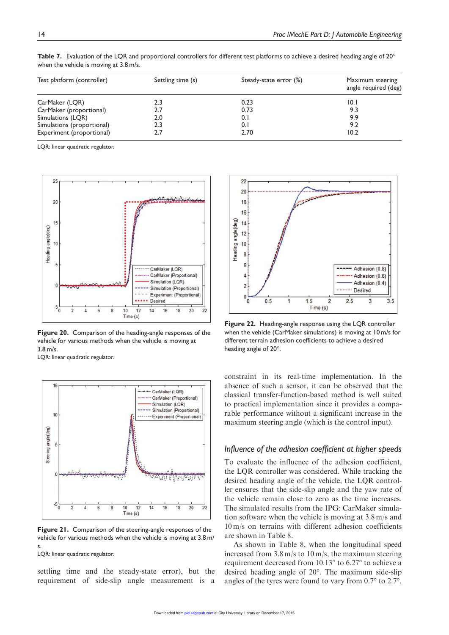| Test platform (controller) | Settling time (s) | Steady-state error (%) | Maximum steering<br>angle required (deg) |
|----------------------------|-------------------|------------------------|------------------------------------------|
| CarMaker (LQR)             | 2.3               | 0.23                   | 10.1                                     |
| CarMaker (proportional)    | 2.7               | 0.73                   | 9.3                                      |
| Simulations (LQR)          | 2.0               | 0.1                    | 9.9                                      |
| Simulations (proportional) | 2.3               | 0.1                    | 9.2                                      |
| Experiment (proportional)  | 2.7               | 2.70                   | 10.2                                     |

Table 7. Evaluation of the LQR and proportional controllers for different test platforms to achieve a desired heading angle of  $20^{\circ}$ when the vehicle is moving at 3.8 m/s.

LQR: linear quadratic regulator.



Figure 20. Comparison of the heading-angle responses of the vehicle for various methods when the vehicle is moving at 3.8 m/s.

LQR: linear quadratic regulator.



Figure 21. Comparison of the steering-angle responses of the vehicle for various methods when the vehicle is moving at 3.8 m/ s.

LQR: linear quadratic regulator.

settling time and the steady-state error), but the requirement of side-slip angle measurement is a



Figure 22. Heading-angle response using the LQR controller when the vehicle (CarMaker simulations) is moving at 10 m/s for different terrain adhesion coefficients to achieve a desired heading angle of 20°.

constraint in its real-time implementation. In the absence of such a sensor, it can be observed that the classical transfer-function-based method is well suited to practical implementation since it provides a comparable performance without a significant increase in the maximum steering angle (which is the control input).

### *Influence of the adhesion coefficient at higher speeds*

To evaluate the influence of the adhesion coefficient, the LQR controller was considered. While tracking the desired heading angle of the vehicle, the LQR controller ensures that the side-slip angle and the yaw rate of the vehicle remain close to zero as the time increases. The simulated results from the IPG: CarMaker simulation software when the vehicle is moving at 3.8 m/s and 10 m/s on terrains with different adhesion coefficients are shown in Table 8.

As shown in Table 8, when the longitudinal speed increased from 3.8 m/s to 10 m/s, the maximum steering requirement decreased from  $10.13^{\circ}$  to  $6.27^{\circ}$  to achieve a desired heading angle of 20°. The maximum side-slip angles of the tyres were found to vary from  $0.7^\circ$  to  $2.7^\circ$ .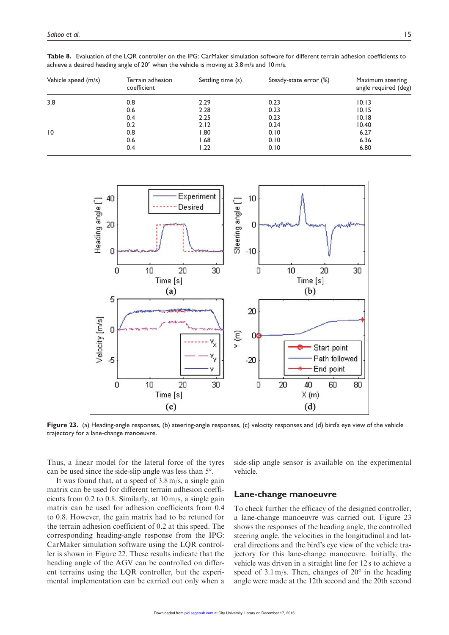| Vehicle speed (m/s) | Terrain adhesion<br>coefficient | Settling time (s) | Steady-state error (%) | Maximum steering<br>angle required (deg) |
|---------------------|---------------------------------|-------------------|------------------------|------------------------------------------|
| 3.8                 | 0.8                             | 2.29              | 0.23                   | 10.13                                    |
| 0.6<br>0.4          |                                 | 2.28              | 0.23                   | 10.15                                    |
|                     |                                 | 2.25              | 0.23                   | 10.18                                    |
|                     | 0.2                             | 2.12              | 0.24                   | 10.40                                    |
| 10                  | 0.8                             | 1.80              | 0.10                   | 6.27                                     |
|                     | 0.6                             | 1.68              | 0.10                   | 6.36                                     |
|                     | 0.4                             | .22               | 0.10                   | 6.80                                     |

Table 8. Evaluation of the LQR controller on the IPG: CarMaker simulation software for different terrain adhesion coefficients to achieve a desired heading angle of  $20^{\circ}$  when the vehicle is moving at 3.8 m/s and 10 m/s.



Figure 23. (a) Heading-angle responses, (b) steering-angle responses, (c) velocity responses and (d) bird's eye view of the vehicle trajectory for a lane-change manoeuvre.

Thus, a linear model for the lateral force of the tyres can be used since the side-slip angle was less than  $5^\circ$ .

It was found that, at a speed of 3.8 m/s, a single gain matrix can be used for different terrain adhesion coefficients from 0.2 to 0.8. Similarly, at 10 m/s, a single gain matrix can be used for adhesion coefficients from 0.4 to 0.8. However, the gain matrix had to be retuned for the terrain adhesion coefficient of 0.2 at this speed. The corresponding heading-angle response from the IPG: CarMaker simulation software using the LQR controller is shown in Figure 22. These results indicate that the heading angle of the AGV can be controlled on different terrains using the LQR controller, but the experimental implementation can be carried out only when a side-slip angle sensor is available on the experimental vehicle.

#### Lane-change manoeuvre

To check further the efficacy of the designed controller, a lane-change manoeuvre was carried out. Figure 23 shows the responses of the heading angle, the controlled steering angle, the velocities in the longitudinal and lateral directions and the bird's eye view of the vehicle trajectory for this lane-change manoeuvre. Initially, the vehicle was driven in a straight line for 12 s to achieve a speed of 3.1 m/s. Then, changes of  $20^{\circ}$  in the heading angle were made at the 12th second and the 20th second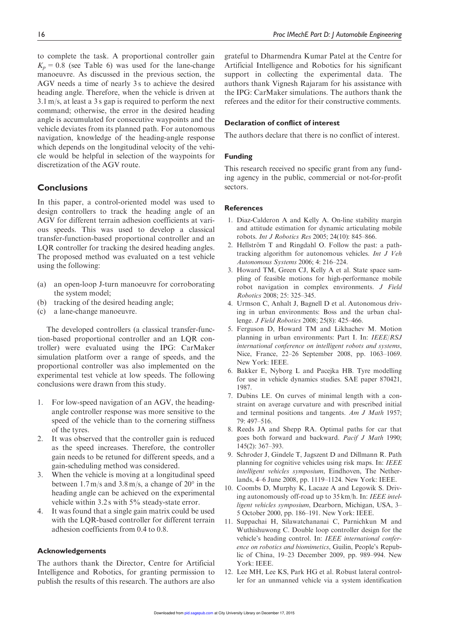to complete the task. A proportional controller gain  $K_p = 0.8$  (see Table 6) was used for the lane-change manoeuvre. As discussed in the previous section, the AGV needs a time of nearly 3 s to achieve the desired heading angle. Therefore, when the vehicle is driven at 3.1 m/s, at least a 3 s gap is required to perform the next command; otherwise, the error in the desired heading angle is accumulated for consecutive waypoints and the vehicle deviates from its planned path. For autonomous navigation, knowledge of the heading-angle response which depends on the longitudinal velocity of the vehicle would be helpful in selection of the waypoints for discretization of the AGV route.

### **Conclusions**

In this paper, a control-oriented model was used to design controllers to track the heading angle of an AGV for different terrain adhesion coefficients at various speeds. This was used to develop a classical transfer-function-based proportional controller and an LQR controller for tracking the desired heading angles. The proposed method was evaluated on a test vehicle using the following:

- (a) an open-loop J-turn manoeuvre for corroborating the system model;
- (b) tracking of the desired heading angle;
- (c) a lane-change manoeuvre.

The developed controllers (a classical transfer-function-based proportional controller and an LQR controller) were evaluated using the IPG: CarMaker simulation platform over a range of speeds, and the proportional controller was also implemented on the experimental test vehicle at low speeds. The following conclusions were drawn from this study.

- 1. For low-speed navigation of an AGV, the headingangle controller response was more sensitive to the speed of the vehicle than to the cornering stiffness of the tyres.
- 2. It was observed that the controller gain is reduced as the speed increases. Therefore, the controller gain needs to be retuned for different speeds, and a gain-scheduling method was considered.
- 3. When the vehicle is moving at a longitudinal speed between 1.7 m/s and 3.8 m/s, a change of  $20^{\circ}$  in the heading angle can be achieved on the experimental vehicle within 3.2 s with 5% steady-state error.
- 4. It was found that a single gain matrix could be used with the LOR-based controller for different terrain adhesion coefficients from 0.4 to 0.8.

#### Acknowledgements

The authors thank the Director, Centre for Artificial Intelligence and Robotics, for granting permission to publish the results of this research. The authors are also

grateful to Dharmendra Kumar Patel at the Centre for Artificial Intelligence and Robotics for his significant support in collecting the experimental data. The authors thank Vignesh Rajaram for his assistance with the IPG: CarMaker simulations. The authors thank the referees and the editor for their constructive comments.

### Declaration of conflict of interest

The authors declare that there is no conflict of interest.

#### Funding

This research received no specific grant from any funding agency in the public, commercial or not-for-profit sectors.

#### References

- 1. Diaz-Calderon A and Kelly A. On-line stability margin and attitude estimation for dynamic articulating mobile robots. Int J Robotics Res 2005; 24(10): 845–866.
- 2. Hellström T and Ringdahl O. Follow the past: a pathtracking algorithm for autonomous vehicles. Int J Veh Autonomous Systems 2006; 4: 216–224.
- 3. Howard TM, Green CJ, Kelly A et al. State space sampling of feasible motions for high-performance mobile robot navigation in complex environments. J Field Robotics 2008; 25: 325–345.
- 4. Urmson C, Anhalt J, Bagnell D et al. Autonomous driving in urban environments: Boss and the urban challenge. J Field Robotics 2008; 25(8): 425–466.
- 5. Ferguson D, Howard TM and Likhachev M. Motion planning in urban environments: Part I. In: IEEE/RSJ international conference on intelligent robots and systems, Nice, France, 22–26 September 2008, pp. 1063–1069. New York: IEEE.
- 6. Bakker E, Nyborg L and Pacejka HB. Tyre modelling for use in vehicle dynamics studies. SAE paper 870421, 1987.
- 7. Dubins LE. On curves of minimal length with a constraint on average curvature and with prescribed initial and terminal positions and tangents. Am J Math 1957;  $79.497 - 516$
- 8. Reeds JA and Shepp RA. Optimal paths for car that goes both forward and backward. Pacif J Math 1990; 145(2): 367–393.
- 9. Schroder J, Gindele T, Jagszent D and Dillmann R. Path planning for cognitive vehicles using risk maps. In: IEEE intelligent vehicles symposium, Eindhoven, The Netherlands, 4–6 June 2008, pp. 1119–1124. New York: IEEE.
- 10. Coombs D, Murphy K, Lacaze A and Legowik S. Driving autonomously off-road up to 35 km/h. In: IEEE intelligent vehicles symposium, Dearborn, Michigan, USA, 3– 5 October 2000, pp. 186–191. New York: IEEE.
- 11. Suppachai H, Silawatchananai C, Parnichkun M and Wuthishuwong C. Double loop controller design for the vehicle's heading control. In: IEEE international conference on robotics and biomimetics, Guilin, People's Republic of China, 19–23 December 2009, pp. 989–994. New York: IEEE.
- 12. Lee MH, Lee KS, Park HG et al. Robust lateral controller for an unmanned vehicle via a system identification